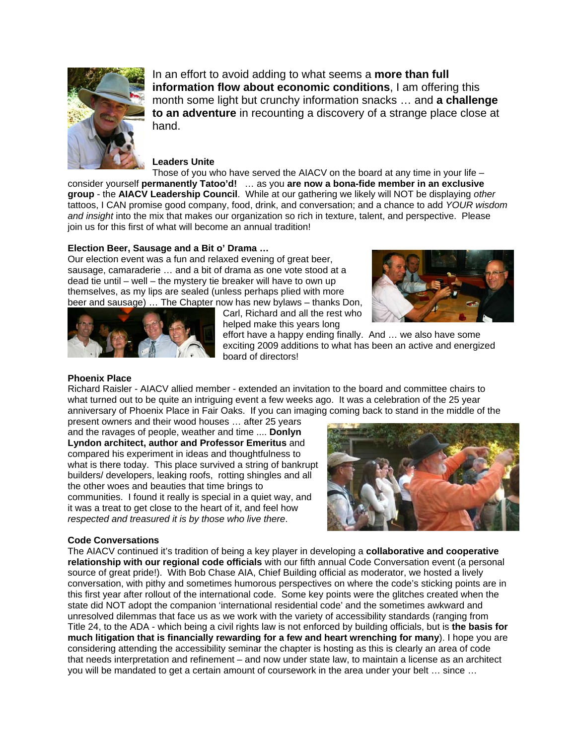

In an effort to avoid adding to what seems a **more than full information flow about economic conditions**, I am offering this month some light but crunchy information snacks … and **a challenge to an adventure** in recounting a discovery of a strange place close at hand.

# **Leaders Unite**

Those of you who have served the AIACV on the board at any time in your life – consider yourself **permanently Tatoo'd!** … as you **are now a bona-fide member in an exclusive group** - the **AIACV Leadership Council**. While at our gathering we likely will NOT be displaying *other*  tattoos, I CAN promise good company, food, drink, and conversation; and a chance to add *YOUR wisdom and insight* into the mix that makes our organization so rich in texture, talent, and perspective. Please join us for this first of what will become an annual tradition!

## **Election Beer, Sausage and a Bit o' Drama …**

Our election event was a fun and relaxed evening of great beer, sausage, camaraderie … and a bit of drama as one vote stood at a dead tie until – well – the mystery tie breaker will have to own up themselves, as my lips are sealed (unless perhaps plied with more beer and sausage) … The Chapter now has new bylaws – thanks Don,





Carl, Richard and all the rest who helped make this years long

effort have a happy ending finally. And … we also have some exciting 2009 additions to what has been an active and energized board of directors!

## **Phoenix Place**

Richard Raisler - AIACV allied member - extended an invitation to the board and committee chairs to what turned out to be quite an intriguing event a few weeks ago. It was a celebration of the 25 year anniversary of Phoenix Place in Fair Oaks. If you can imaging coming back to stand in the middle of the

present owners and their wood houses … after 25 years and the ravages of people, weather and time .... **Donlyn Lyndon architect, author and Professor Emeritus** and compared his experiment in ideas and thoughtfulness to what is there today. This place survived a string of bankrupt builders/ developers, leaking roofs, rotting shingles and all the other woes and beauties that time brings to communities. I found it really is special in a quiet way, and it was a treat to get close to the heart of it, and feel how *respected and treasured it is by those who live there*.

### **Code Conversations**

The AIACV continued it's tradition of being a key player in developing a **collaborative and cooperative relationship with our regional code officials** with our fifth annual Code Conversation event (a personal source of great pride!). With Bob Chase AIA, Chief Building official as moderator, we hosted a lively conversation, with pithy and sometimes humorous perspectives on where the code's sticking points are in this first year after rollout of the international code. Some key points were the glitches created when the state did NOT adopt the companion 'international residential code' and the sometimes awkward and unresolved dilemmas that face us as we work with the variety of accessibility standards (ranging from Title 24, to the ADA - which being a civil rights law is not enforced by building officials, but is **the basis for much litigation that is financially rewarding for a few and heart wrenching for many**). I hope you are considering attending the accessibility seminar the chapter is hosting as this is clearly an area of code that needs interpretation and refinement – and now under state law, to maintain a license as an architect you will be mandated to get a certain amount of coursework in the area under your belt … since …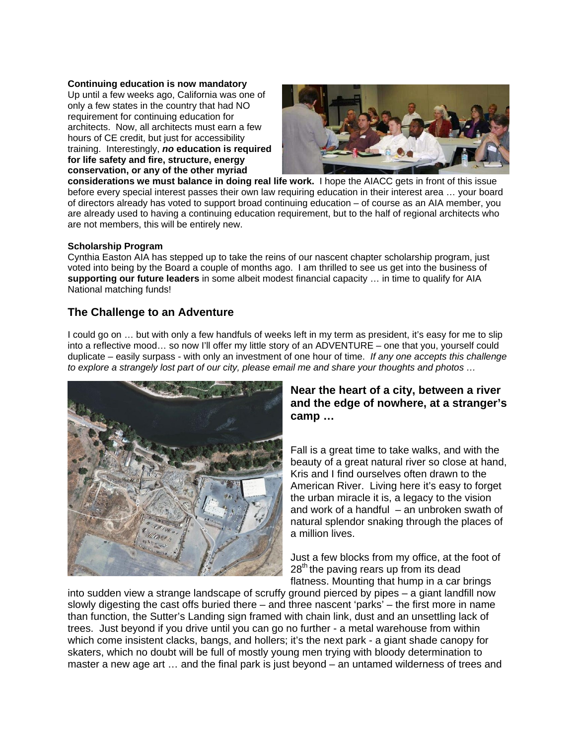**Continuing education is now mandatory** Up until a few weeks ago, California was one of only a few states in the country that had NO requirement for continuing education for architects. Now, all architects must earn a few hours of CE credit, but just for accessibility training. Interestingly, *no* **education is required for life safety and fire, structure, energy conservation, or any of the other myriad** 



**considerations we must balance in doing real life work.** I hope the AIACC gets in front of this issue before every special interest passes their own law requiring education in their interest area … your board of directors already has voted to support broad continuing education – of course as an AIA member, you are already used to having a continuing education requirement, but to the half of regional architects who are not members, this will be entirely new.

# **Scholarship Program**

Cynthia Easton AIA has stepped up to take the reins of our nascent chapter scholarship program, just voted into being by the Board a couple of months ago. I am thrilled to see us get into the business of **supporting our future leaders** in some albeit modest financial capacity … in time to qualify for AIA National matching funds!

# **The Challenge to an Adventure**

I could go on … but with only a few handfuls of weeks left in my term as president, it's easy for me to slip into a reflective mood… so now I'll offer my little story of an ADVENTURE – one that you, yourself could duplicate – easily surpass - with only an investment of one hour of time. *If any one accepts this challenge to explore a strangely lost part of our city, please email me and share your thoughts and photos …* 



# **Near the heart of a city, between a river and the edge of nowhere, at a stranger's camp …**

Fall is a great time to take walks, and with the beauty of a great natural river so close at hand, Kris and I find ourselves often drawn to the American River. Living here it's easy to forget the urban miracle it is, a legacy to the vision and work of a handful  $-$  an unbroken swath of natural splendor snaking through the places of a million lives.

Just a few blocks from my office, at the foot of  $28<sup>th</sup>$  the paving rears up from its dead flatness. Mounting that hump in a car brings

into sudden view a strange landscape of scruffy ground pierced by pipes – a giant landfill now slowly digesting the cast offs buried there – and three nascent 'parks' – the first more in name than function, the Sutter's Landing sign framed with chain link, dust and an unsettling lack of trees. Just beyond if you drive until you can go no further - a metal warehouse from within which come insistent clacks, bangs, and hollers; it's the next park - a giant shade canopy for skaters, which no doubt will be full of mostly young men trying with bloody determination to master a new age art … and the final park is just beyond – an untamed wilderness of trees and